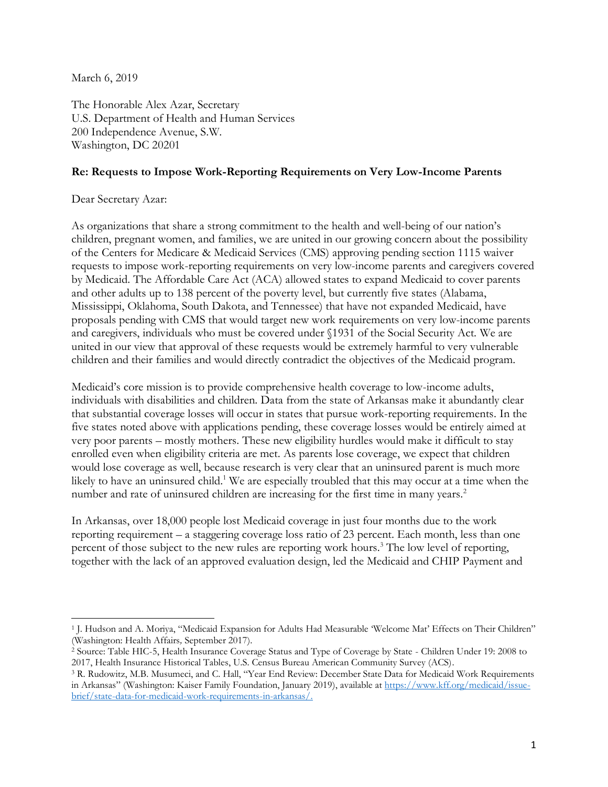March 6, 2019

The Honorable Alex Azar, Secretary U.S. Department of Health and Human Services 200 Independence Avenue, S.W. Washington, DC 20201

## **Re: Requests to Impose Work-Reporting Requirements on Very Low-Income Parents**

## Dear Secretary Azar:

 $\overline{a}$ 

As organizations that share a strong commitment to the health and well-being of our nation's children, pregnant women, and families, we are united in our growing concern about the possibility of the Centers for Medicare & Medicaid Services (CMS) approving pending section 1115 waiver requests to impose work-reporting requirements on very low-income parents and caregivers covered by Medicaid. The Affordable Care Act (ACA) allowed states to expand Medicaid to cover parents and other adults up to 138 percent of the poverty level, but currently five states (Alabama, Mississippi, Oklahoma, South Dakota, and Tennessee) that have not expanded Medicaid, have proposals pending with CMS that would target new work requirements on very low-income parents and caregivers, individuals who must be covered under §1931 of the Social Security Act. We are united in our view that approval of these requests would be extremely harmful to very vulnerable children and their families and would directly contradict the objectives of the Medicaid program.

Medicaid's core mission is to provide comprehensive health coverage to low-income adults, individuals with disabilities and children. Data from the state of Arkansas make it abundantly clear that substantial coverage losses will occur in states that pursue work-reporting requirements. In the five states noted above with applications pending, these coverage losses would be entirely aimed at very poor parents – mostly mothers. These new eligibility hurdles would make it difficult to stay enrolled even when eligibility criteria are met. As parents lose coverage, we expect that children would lose coverage as well, because research is very clear that an uninsured parent is much more likely to have an uninsured child.<sup>1</sup> We are especially troubled that this may occur at a time when the number and rate of uninsured children are increasing for the first time in many years.<sup>2</sup>

In Arkansas, over 18,000 people lost Medicaid coverage in just four months due to the work reporting requirement – a staggering coverage loss ratio of 23 percent. Each month, less than one percent of those subject to the new rules are reporting work hours.<sup>3</sup> The low level of reporting, together with the lack of an approved evaluation design, led the Medicaid and CHIP Payment and

<sup>&</sup>lt;sup>1</sup> J. Hudson and A. Moriya, "Medicaid Expansion for Adults Had Measurable 'Welcome Mat' Effects on Their Children" (Washington: Health Affairs*,* September 2017).

<sup>2</sup> Source: Table HIC-5, Health Insurance Coverage Status and Type of Coverage by State - Children Under 19: 2008 to 2017, Health Insurance Historical Tables, U.S. Census Bureau American Community Survey (ACS).

<sup>3</sup> R. Rudowitz, M.B. Musumeci, and C. Hall, "Year End Review: December State Data for Medicaid Work Requirements in Arkansas" (Washington: Kaiser Family Foundation, January 2019), available at [https://www.kff.org/medicaid/issue](https://www.kff.org/medicaid/issue-brief/state-data-for-medicaid-work-requirements-in-arkansas/)[brief/state-data-for-medicaid-work-requirements-in-arkansas/.](https://www.kff.org/medicaid/issue-brief/state-data-for-medicaid-work-requirements-in-arkansas/)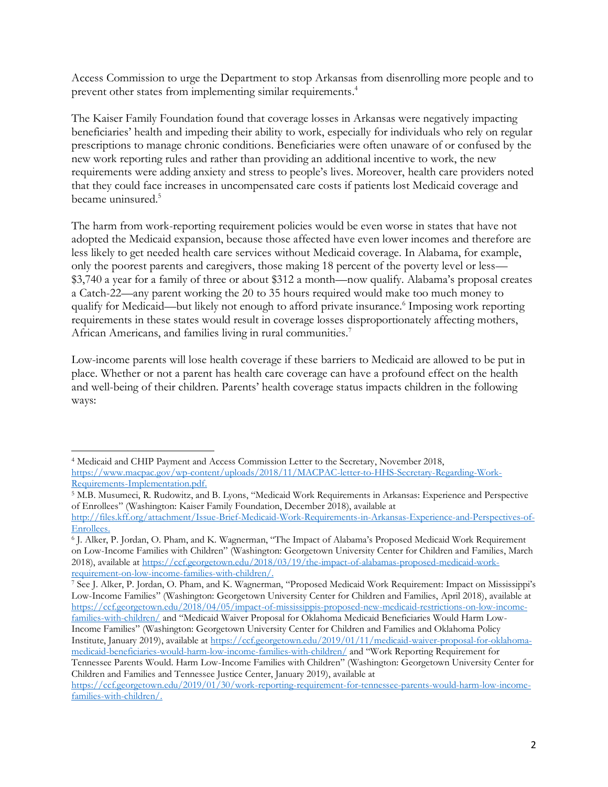Access Commission to urge the Department to stop Arkansas from disenrolling more people and to prevent other states from implementing similar requirements. 4

The Kaiser Family Foundation found that coverage losses in Arkansas were negatively impacting beneficiaries' health and impeding their ability to work, especially for individuals who rely on regular prescriptions to manage chronic conditions. Beneficiaries were often unaware of or confused by the new work reporting rules and rather than providing an additional incentive to work, the new requirements were adding anxiety and stress to people's lives. Moreover, health care providers noted that they could face increases in uncompensated care costs if patients lost Medicaid coverage and became uninsured.<sup>5</sup>

The harm from work-reporting requirement policies would be even worse in states that have not adopted the Medicaid expansion, because those affected have even lower incomes and therefore are less likely to get needed health care services without Medicaid coverage. In Alabama, for example, only the poorest parents and caregivers, those making 18 percent of the poverty level or less— \$3,740 a year for a family of three or about \$312 a month—now qualify. Alabama's proposal creates a Catch-22—any parent working the 20 to 35 hours required would make too much money to qualify for Medicaid—but likely not enough to afford private insurance.<sup>6</sup> Imposing work reporting requirements in these states would result in coverage losses disproportionately affecting mothers, African Americans, and families living in rural communities.<sup>7</sup>

Low-income parents will lose health coverage if these barriers to Medicaid are allowed to be put in place. Whether or not a parent has health care coverage can have a profound effect on the health and well-being of their children. Parents' health coverage status impacts children in the following ways:

Children and Families and Tennessee Justice Center, January 2019), available at [https://ccf.georgetown.edu/2019/01/30/work-reporting-requirement-for-tennessee-parents-would-harm-low-income-](https://ccf.georgetown.edu/2019/01/30/work-reporting-requirement-for-tennessee-parents-would-harm-low-income-families-with-children/)

[families-with-children/.](https://ccf.georgetown.edu/2019/01/30/work-reporting-requirement-for-tennessee-parents-would-harm-low-income-families-with-children/)

 $\overline{a}$ 

<sup>4</sup> Medicaid and CHIP Payment and Access Commission Letter to the Secretary, November 2018, [https://www.macpac.gov/wp-content/uploads/2018/11/MACPAC-letter-to-HHS-Secretary-Regarding-Work-](https://www.macpac.gov/wp-content/uploads/2018/11/MACPAC-letter-to-HHS-Secretary-Regarding-Work-Requirements-Implementation.pdf)[Requirements-Implementation.pdf.](https://www.macpac.gov/wp-content/uploads/2018/11/MACPAC-letter-to-HHS-Secretary-Regarding-Work-Requirements-Implementation.pdf)

<sup>5</sup> M.B. Musumeci, R. Rudowitz, and B. Lyons, "Medicaid Work Requirements in Arkansas: Experience and Perspective of Enrollees" (Washington: Kaiser Family Foundation, December 2018), available at [http://files.kff.org/attachment/Issue-Brief-Medicaid-Work-Requirements-in-Arkansas-Experience-and-Perspectives-of-](http://files.kff.org/attachment/Issue-Brief-Medicaid-Work-Requirements-in-Arkansas-Experience-and-Perspectives-of-Enrollees)[Enrollees.](http://files.kff.org/attachment/Issue-Brief-Medicaid-Work-Requirements-in-Arkansas-Experience-and-Perspectives-of-Enrollees)

<sup>6</sup> J. Alker, P. Jordan, O. Pham, and K. Wagnerman, "The Impact of Alabama's Proposed Medicaid Work Requirement on Low-Income Families with Children" (Washington: Georgetown University Center for Children and Families, March 2018), available at [https://ccf.georgetown.edu/2018/03/19/the-impact-of-alabamas-proposed-medicaid-work](https://ccf.georgetown.edu/2018/03/19/the-impact-of-alabamas-proposed-medicaid-work-requirement-on-low-income-families-with-children/)[requirement-on-low-income-families-with-children/.](https://ccf.georgetown.edu/2018/03/19/the-impact-of-alabamas-proposed-medicaid-work-requirement-on-low-income-families-with-children/)

<sup>7</sup> See J. Alker, P. Jordan, O. Pham, and K. Wagnerman, "Proposed Medicaid Work Requirement: Impact on Mississippi's Low-Income Families" (Washington: Georgetown University Center for Children and Families, April 2018), available at [https://ccf.georgetown.edu/2018/04/05/impact-of-mississippis-proposed-new-medicaid-restrictions-on-low-income](https://ccf.georgetown.edu/2018/04/05/impact-of-mississippis-proposed-new-medicaid-restrictions-on-low-income-families-with-children/)[families-with-children/](https://ccf.georgetown.edu/2018/04/05/impact-of-mississippis-proposed-new-medicaid-restrictions-on-low-income-families-with-children/) and "Medicaid Waiver Proposal for Oklahoma Medicaid Beneficiaries Would Harm Low-Income Families" (Washington: Georgetown University Center for Children and Families and Oklahoma Policy Institute, January 2019), available at [https://ccf.georgetown.edu/2019/01/11/medicaid-waiver-proposal-for-oklahoma](https://ccf.georgetown.edu/2019/01/11/medicaid-waiver-proposal-for-oklahoma-medicaid-beneficiaries-would-harm-low-income-families-with-children/)[medicaid-beneficiaries-would-harm-low-income-families-with-children/](https://ccf.georgetown.edu/2019/01/11/medicaid-waiver-proposal-for-oklahoma-medicaid-beneficiaries-would-harm-low-income-families-with-children/) and "Work Reporting Requirement for Tennessee Parents Would. Harm Low-Income Families with Children" (Washington: Georgetown University Center for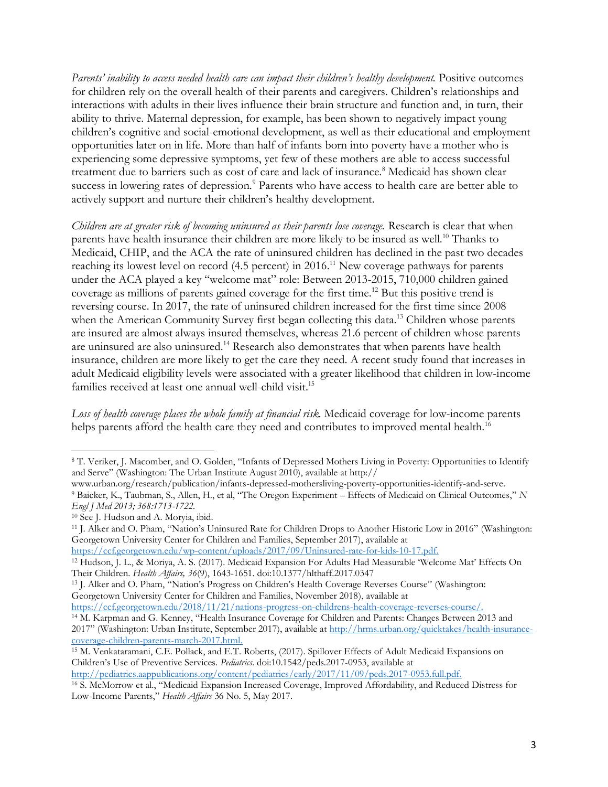*Parents' inability to access needed health care can impact their children's healthy development.* Positive outcomes for children rely on the overall health of their parents and caregivers. Children's relationships and interactions with adults in their lives influence their brain structure and function and, in turn, their ability to thrive. Maternal depression, for example, has been shown to negatively impact young children's cognitive and social-emotional development, as well as their educational and employment opportunities later on in life. More than half of infants born into poverty have a mother who is experiencing some depressive symptoms, yet few of these mothers are able to access successful treatment due to barriers such as cost of care and lack of insurance.<sup>8</sup> Medicaid has shown clear success in lowering rates of depression.<sup>9</sup> Parents who have access to health care are better able to actively support and nurture their children's healthy development.

*Children are at greater risk of becoming uninsured as their parents lose coverage.* Research is clear that when parents have health insurance their children are more likely to be insured as well.<sup>10</sup> Thanks to Medicaid, CHIP, and the ACA the rate of uninsured children has declined in the past two decades reaching its lowest level on record (4.5 percent) in 2016.<sup>11</sup> New coverage pathways for parents under the ACA played a key "welcome mat" role: Between 2013-2015, 710,000 children gained coverage as millions of parents gained coverage for the first time.<sup>12</sup> But this positive trend is reversing course. In 2017, the rate of uninsured children increased for the first time since 2008 when the American Community Survey first began collecting this data.<sup>13</sup> Children whose parents are insured are almost always insured themselves, whereas 21.6 percent of children whose parents are uninsured are also uninsured.<sup>14</sup> Research also demonstrates that when parents have health insurance, children are more likely to get the care they need. A recent study found that increases in adult Medicaid eligibility levels were associated with a greater likelihood that children in low-income families received at least one annual well-child visit.<sup>15</sup>

*Loss of health coverage places the whole family at financial risk.* Medicaid coverage for low-income parents helps parents afford the health care they need and contributes to improved mental health.<sup>16</sup>

[https://ccf.georgetown.edu/wp-content/uploads/2017/09/Uninsured-rate-for-kids-10-17.pdf.](https://ccf.georgetown.edu/wp-content/uploads/2017/09/Uninsured-rate-for-kids-10-17.pdf)

<sup>15</sup> M. Venkataramani, C.E. Pollack, and E.T. Roberts, (2017). Spillover Effects of Adult Medicaid Expansions on Children's Use of Preventive Services. *Pediatrics*. doi:10.1542/peds.2017-0953, available at [http://pediatrics.aappublications.org/content/pediatrics/early/2017/11/09/peds.2017-0953.full.pdf.](http://pediatrics.aappublications.org/content/pediatrics/early/2017/11/09/peds.2017-0953.full.pdf)

<sup>16</sup> S. McMorrow et al., "Medicaid Expansion Increased Coverage, Improved Affordability, and Reduced Distress for Low-Income Parents," *Health Affairs* 36 No. 5, May 2017.

 $\overline{a}$ <sup>8</sup> T. Veriker, J. Macomber, and O. Golden, "Infants of Depressed Mothers Living in Poverty: Opportunities to Identify and Serve" (Washington: The Urban Institute August 2010), available at http://

www.urban.org/research/publication/infants-depressed-mothersliving-poverty-opportunities-identify-and-serve. <sup>9</sup> Baicker, K., Taubman, S., Allen, H., et al, "The Oregon Experiment – Effects of Medicaid on Clinical Outcomes," *N Engl J Med 2013; 368:1713-1722.*

<sup>10</sup> See J. Hudson and A. Moryia, ibid.

<sup>11</sup> J. Alker and O. Pham, "Nation's Uninsured Rate for Children Drops to Another Historic Low in 2016" (Washington: Georgetown University Center for Children and Families, September 2017), available at

<sup>12</sup> Hudson, J. L., & Moriya, A. S. (2017). Medicaid Expansion For Adults Had Measurable 'Welcome Mat' Effects On Their Children. *Health Affairs, 36*(9), 1643-1651. doi:10.1377/hlthaff.2017.0347

<sup>13</sup> J. Alker and O. Pham, "Nation's Progress on Children's Health Coverage Reverses Course" (Washington: Georgetown University Center for Children and Families, November 2018), available at

[https://ccf.georgetown.edu/2018/11/21/nations-progress-on-childrens-health-coverage-reverses-course/.](https://ccf.georgetown.edu/2018/11/21/nations-progress-on-childrens-health-coverage-reverses-course/) <sup>14</sup> M. Karpman and G. Kenney, "Health Insurance Coverage for Children and Parents: Changes Between 2013 and

<sup>2017&</sup>quot; (Washington: Urban Institute, September 2017), available at [http://hrms.urban.org/quicktakes/health-insurance](http://hrms.urban.org/quicktakes/health-insurance-coverage-children-parents-march-2017.html)[coverage-children-parents-march-2017.html.](http://hrms.urban.org/quicktakes/health-insurance-coverage-children-parents-march-2017.html)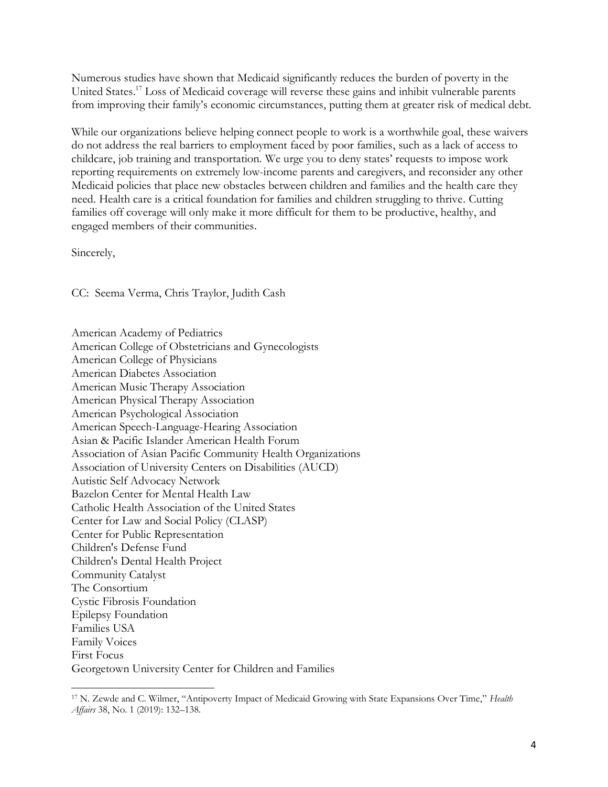Numerous studies have shown that Medicaid significantly reduces the burden of poverty in the United States.<sup>17</sup> Loss of Medicaid coverage will reverse these gains and inhibit vulnerable parents from improving their family's economic circumstances, putting them at greater risk of medical debt.

While our organizations believe helping connect people to work is a worthwhile goal, these waivers do not address the real barriers to employment faced by poor families, such as a lack of access to childcare, job training and transportation. We urge you to deny states' requests to impose work reporting requirements on extremely low-income parents and caregivers, and reconsider any other Medicaid policies that place new obstacles between children and families and the health care they need. Health care is a critical foundation for families and children struggling to thrive. Cutting families off coverage will only make it more difficult for them to be productive, healthy, and engaged members of their communities.

Sincerely,

CC: Seema Verma, Chris Traylor, Judith Cash

American Academy of Pediatrics American College of Obstetricians and Gynecologists American College of Physicians American Diabetes Association American Music Therapy Association American Physical Therapy Association American Psychological Association American Speech-Language-Hearing Association Asian & Pacific Islander American Health Forum Association of Asian Pacific Community Health Organizations Association of University Centers on Disabilities (AUCD) Autistic Self Advocacy Network Bazelon Center for Mental Health Law Catholic Health Association of the United States Center for Law and Social Policy (CLASP) Center for Public Representation Children's Defense Fund Children's Dental Health Project Community Catalyst The Consortium Cystic Fibrosis Foundation Epilepsy Foundation Families USA Family Voices First Focus Georgetown University Center for Children and Families

 $\overline{a}$ <sup>17</sup> N. Zewde and C. Wilmer, "Antipoverty Impact of Medicaid Growing with State Expansions Over Time," *Health Affairs* 38, No. 1 (2019): 132–138.